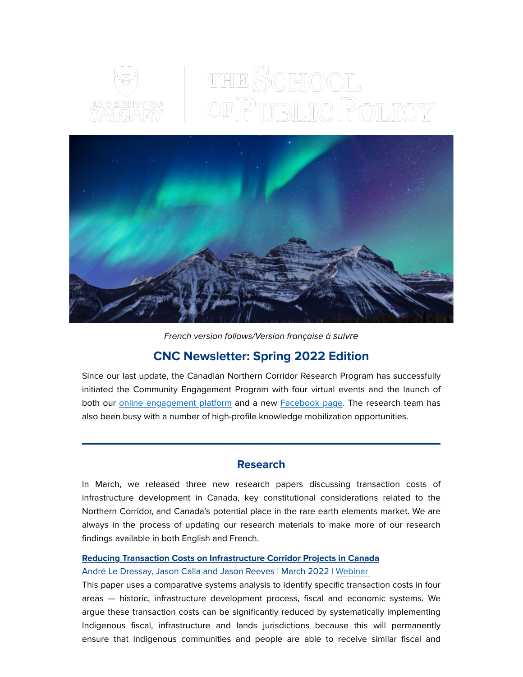

# THE SCHOOL OF PUBLIC POLICY



French version follows/Version française à suivre

# CNC Newsletter: Spring 2022 Edition

Since our last update, the Canadian Northern Corridor Research Program has successfully initiated the Community Engagement Program with four virtual events and the launch of both our [online engagement platform](https://em.ucalgary.ca/ol/h09UccfLdlhd6BYgutO1DPC0z3iYL8r66_EwRKa_h55riwVuYOPLdQyi0IAIS8t0aPqZCAZNQ9ZlyQgFSqaGct0QvPBUDxy3VTLzme_dboFCdK1TycJg86-kynlLqdzEh1XIVB5XESY6MVXEL7wogT7sA4UuAlLTqyyUZt9lmTAcl7xZkNTt/j0xQd8HMI1lNoVdlsbPWIafumjvHe5-t9b98Rqjr2dsBzUd1L8H7AVnDvYp8KJtiMMaqICMxMrdExFhpP-KxSqJW0txwB2LmABX6qbDgY6x_VqZe2_JQ672j1i03pPiHinrcKmIlQnlYKTKNZ4cvth_CJKc5DwSw7lX1DYompSAs1rlR7pSCUaqm4SG0727V_DuKPAlus5HK61O9Hs5drf0Sh2Qm_UMf) and a new [Facebook page.](https://em.ucalgary.ca/ol/h09VdMLJdlhd6BYgutO1DPC0z3iYL8r66_EwRKa_h55riwVuYOPLdQyi0IAIS8t0aPqZCAZNQ9ZlyQgFSqaGct0QvPBUDxy3VTLzme_dboFCdK1TycJg86-kynlLqdzEh1XIVB5XESY6MVXEL7wogT7sA4UuAlLSrSKRZddlmTAcl7xZkNTt/j01WecTPK1lNoVdlsbPWNb760TPBeZ2qtLN2R_Tp34AK3ElzUcLsHU_oidRUQ585cdaKDglNPqRY2CBtQ82hddAV1cF8KmCTfx771JD_bal4U6Jb9ext3Pz99mUsu-eOs23rG2IJc0B4cQCTJI0uoTj_FoAAciiF8k-MAZctpCc6p5gQ4Yj7eoSg1UeY-EH_5BHdMARF4ui3806mXo1wscQRsUUssENxLbH37DTVlYsTgzUD0O5iniU,) The research team has also been busy with a number of high-profile knowledge mobilization opportunities.

# Research

In March, we released three new research papers discussing transaction costs of infrastructure development in Canada, key constitutional considerations related to the Northern Corridor, and Canada's potential place in the rare earth elements market. We are always in the process of updating our research materials to make more of our research findings available in both English and French.

### [Reducing Transaction Costs on Infrastructure Corridor Projects in Canada](https://em.ucalgary.ca/ol/h09UdsfLdlhd6BYgutO1DPC0z3iYL8r66_EwRKa_h55riwVuYOPLdQyi0IAIS8t0aPqZCAZNQ9ZlyQgFSqaGct0QvPBUDxy3VTLzme_dboFCdK1TycJg86-kynlLqdzEh1XIVB5XESY6MVXEL7wogT7sA4UuAlLeriiZYtVlmTAcl7xZkNTt/j0FVc8zIKVlNoVdlsbPWNb760SXPdpGroq9-Afjp3oE92AdpYqHMN0_7jd1FU4ciaeafBRFfQcAzkkMISa-7X9MStMdYD1SxbCn-jrL5YJ5aYvpj2Mc-8qOx53QKoYCvpmXUJXpXbUVlNFOyXZ4BpRzAFZR3biaF3k3jI68KsSQr0eUq07u6R7-VylSy2EP13SGbMl8w1s--70SaHLpHsNUJiwwQ-F4ectLUxiHw2OwinjIVwdR6iCVn0q92dfFuyT-QTD6x8JXSXPhgRr3qg7Wi7fwmbgxgvLMEaFb0K06gNg,,)

### André Le Dressay, Jason Calla and Jason Reeves | March 2022 | [Webinar](https://em.ucalgary.ca/ol/h09UccLMdlhd6BYgutO1DPC0z3iYL8r66_EwRKa_h55riwVuYOPLdQyi0IAIS8t0aPqZCAZNQ9ZlyQgFSqaGct0QvPBUDxy3VTLzme_dboFCdK1TycJg86-kynlLqdzEh1XIVB5XESY6MVXEL7wogT7sA4UuAlLTrS-WYNZlmTAcl7xZkNTt/j0xWdMPKKllNoVdlsbPWO6b4iyCOeJ3ngZhHItO21tgB4W0hf-fbB1Xgg458KKsqSdzHLDYZQ8VO9C15O8GyWYQUy9BfL3eQThPWra35O9VgdJ1i5s1Azo-39Wc2m8mXlFKBO0ErRWlKdCWwQr0osHDTIJ4bUDGl32_2L9ckqzwmsYUJ06ujWeCwrkum3Gjf_i_cIEtX99GV7lTkH846ytYOvlNz32YMbtjT4SDU-w,,)

This paper uses a comparative systems analysis to identify specific transaction costs in four areas — historic, infrastructure development process, fiscal and economic systems. We argue these transaction costs can be significantly reduced by systematically implementing Indigenous fiscal, infrastructure and lands jurisdictions because this will permanently ensure that Indigenous communities and people are able to receive similar fiscal and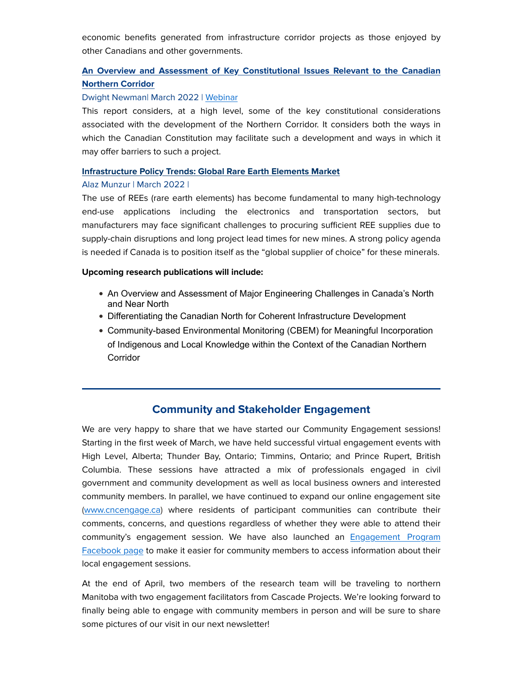economic benefits generated from infrastructure corridor projects as those enjoyed by other Canadians and other governments.

# [An Overview and Assessment of Key Constitutional Issues Relevant to the Canadian](https://em.ucalgary.ca/ol/h09SdsPKdlhd6BYgutO1DPC0z3iYL8r66_EwRKa_h55riwVuYOPLdQyi0IAIS8t0aPqZCAZNQ9ZlyQgFSqaGct0QvPBUDxy3VTLzme_dboFCdK1TycJg86-kynlLqdzEh1XIVB5XESY6MVXEL7wogT7sA4UuAlHWqiuTbdZlmTAcl7xZkNTt/jElRcMbHKllNoVdlsbPWNb760SXPdpGroq9-Afjp3oE92AdpYqHMN0_7jd1FU4ciaeafBRFfQcAzkkMISa-7X9IZtNpLHUi3TxD6mYLVYZ5aeKBmyMhu8amplk4AvdCDnBLcDUlRTXp4WxKSYuINsAT_HKV6cjeOqi7uAaYCvQkvoLlQ57epWYWW7VuJ2EjluG2gMXhs3s2623uuIZ5ZqsMUuU9p2l4DePjQ8xbq6b4tnWsP5eJPgi5N0-hFOplv1wenahzu4bbwa7tqF420uc7rrud7ewQdmJUgf2aJOgzjXouXeDAmxiWmhQ0dMy59Hw,,) [Northern Corridor](https://em.ucalgary.ca/ol/h09SdsPKdlhd6BYgutO1DPC0z3iYL8r66_EwRKa_h55riwVuYOPLdQyi0IAIS8t0aPqZCAZNQ9ZlyQgFSqaGct0QvPBUDxy3VTLzme_dboFCdK1TycJg86-kynlLqdzEh1XIVB5XESY6MVXEL7wogT7sA4UuAlHWqiuTbdZlmTAcl7xZkNTt/jElRcMbHKllNoVdlsbPWNb760SXPdpGroq9-Afjp3oE92AdpYqHMN0_7jd1FU4ciaeafBRFfQcAzkkMISa-7X9IZtNpLHUi3TxD6mYLVYZ5aeKBmyMhu8amplk4AvdCDnBLcDUlRTXp4WxKSYuINsAT_HKV6cjeOqi7uAaYCvQkvoLlQ57epWYWW7VuJ2EjluG2gMXhs3s2623uuIZ5ZqsMUuU9p2l4DePjQ8xbq6b4tnWsP5eJPgi5N0-hFOplv1wenahzu4bbwa7tqF420uc7rrud7ewQdmJUgf2aJOgzjXouXeDAmxiWmhQ0dMy59Hw,,)

### Dwight Newman| March 2022 | [Webinar](https://em.ucalgary.ca/ol/h09Ud8TKdlhd6BYgutO1DPC0z3iYL8r66_EwRKa_h55riwVuYOPLdQyi0IAIS8t0aPqZCAZNQ9ZlyQgFSqaGct0QvPBUDxy3VTLzme_dboFCdK1TycJg86-kynlLqdzEh1XIVB5XESY6MVXEL7wogT7sA4UuAlLTrSOWYdNlmTAcl7xZkNTt/j0xWeMPLL1lNoVdlsbPWO6b4iyCOeJ3nmIpHIs3Q_8MK8Vshf-fbB1Xgg458KKsqSdzHLDYZQ8VO9C15O8GyWYQUy9BfL3eQThPWra35O9VgdJ1i5s1Azo-39Wc2m8mXlFKBO0ErRWlKdCWwQr0osHDTIJ4bUDGl32_2L9ckqzwmsYUJ06ujWeCwrkum3Gjf_i_cIEtX99GV7lTkH846ytYOvlNz32YMbtjT4SDU-w,,)

This report considers, at a high level, some of the key constitutional considerations associated with the development of the Northern Corridor. It considers both the ways in which the Canadian Constitution may facilitate such a development and ways in which it may offer barriers to such a project.

### [Infrastructure Policy Trends: Global Rare Earth Elements Market](https://em.ucalgary.ca/ol/h09Uc8PMdlhd6BYgutO1DPC0z3iYL8r66_EwRKa_h55riwVuYOPLdQyi0IAIS8t0aPqZCAZNQ9ZlyQgFSqaGct0QvPBUDxy3VTLzme_dboFCdK1TycJg86-kynlLqdzEh1XIVB5XESY6MVXEL7wogT7sA4UuAlLfrC6UY9dlmTAcl7xZkNTt/j0BXdcHJK1lNoVdlsbPWNb760SXPdpGroq9-Afjp3oE92AdpYqHMN0_7jd1FU4ciaeafBRFfQcAzkkMISa-7X9ISt8d4LgyfbRXFtZOUf4lILrl4yP518KP49VQ8svG3y3H4AB9bb0VNRSe8Tpok0AzCMrQVfRWv01bNFtN7si0hlIcI96OMb56zyEK04ELIoQeAEVRlwtG4x3e-BK0nr8cPh04WynUySvqm5ALT7IgdpCMC_cgkiUlX8NVeOdtysgeTdDfz6ovwF_s5EuSzn-Pg68ofRQ0Proc7aFc,)

### Alaz Munzur | March 2022 |

The use of REEs (rare earth elements) has become fundamental to many high-technology end-use applications including the electronics and transportation sectors, but manufacturers may face significant challenges to procuring sufficient REE supplies due to supply-chain disruptions and long project lead times for new mines. A strong policy agenda is needed if Canada is to position itself as the "global supplier of choice" for these minerals.

### Upcoming research publications will include:

- An Overview and Assessment of Major Engineering Challenges in Canada's North and Near North
- Differentiating the Canadian North for Coherent Infrastructure Development
- Community-based Environmental Monitoring (CBEM) for Meaningful Incorporation of Indigenous and Local Knowledge within the Context of the Canadian Northern **Corridor**

# Community and Stakeholder Engagement

We are very happy to share that we have started our Community Engagement sessions! Starting in the first week of March, we have held successful virtual engagement events with High Level, Alberta; Thunder Bay, Ontario; Timmins, Ontario; and Prince Rupert, British Columbia. These sessions have attracted a mix of professionals engaged in civil government and community development as well as local business owners and interested community members. In parallel, we have continued to expand our online engagement site [\(www.cncengage.ca\)](https://em.ucalgary.ca/ol/h09UdcDLdlhd6BYgutO1DPC0z3iYL8r66_EwRKa_h55riwVuYOPLdQyi0IAIS8t0aPqZCAZNQ9ZlyQgFSqaGct0QvPBUDxy3VTLzme_dboFCdK1TycJg86-kynlLqdzEh1XIVB5XESY6MVXEL7wogT7sA4UuAlLTri2SbdBlmTAcl7xZkNTt/j0xVdsfHLFlNoVcspLOONb6jnDvDf5avurt4R_TnnZAz0lxBZuPEZWzbsct9KcsfUeDOVC0kMrFA4St9HrSkWYJkzNdLI2ifVBir2I_fRpx0fZVC-9NM-JuUzHUDpJCwnHnJEWkeY1xHZg6pJIswigXoArIGSzSdqnz2IakXpCUNvLUghZb-RbWd12qy7xbS9h-dJF957JmIvQztDZZriYA2iWs30HUkaPPP) where residents of participant communities can contribute their comments, concerns, and questions regardless of whether they were able to attend their community's engagement session. We have also launched an [Engagement Program](https://em.ucalgary.ca/ol/h09Uc8TMdlhd6BYgutO1DPC0z3iYL8r66_EwRKa_h55riwVuYOPLdQyi0IAIS8t0aPqZCAZNQ9ZlyQgFSqaGct0QvPBUDxy3VTLzme_dboFCdK1TycJg86-kynlLqdzEh1XIVB5XESY6MVXEL7wogT7sA4UuAlLSrSKRbdZlmTAcl7xZkNTt/j01WecTHKllNoVdlsbPWNb760TPBeZ2qtLN2R_Tp34AK3ElzUcLsHU_oidRUQ585cdaKDglNPqRY2CBtQ82hddAV1cF8KmCTfx771JD_bal4U6Jb9ext3Pz99mUsu-eOs23rG2IJc0B4cQCTJI0uoTj_FoAAciiF8k-MAZctpCc6p5gQ4Yj7eoSg1UeY-EH_5BHdMARF4ui3806mXo1wscQRsUUssENxLbH37DTVlYsTgzUD0O5iniU,) [Facebook page](https://em.ucalgary.ca/ol/h09Uc8TMdlhd6BYgutO1DPC0z3iYL8r66_EwRKa_h55riwVuYOPLdQyi0IAIS8t0aPqZCAZNQ9ZlyQgFSqaGct0QvPBUDxy3VTLzme_dboFCdK1TycJg86-kynlLqdzEh1XIVB5XESY6MVXEL7wogT7sA4UuAlLSrSKRbdZlmTAcl7xZkNTt/j01WecTHKllNoVdlsbPWNb760TPBeZ2qtLN2R_Tp34AK3ElzUcLsHU_oidRUQ585cdaKDglNPqRY2CBtQ82hddAV1cF8KmCTfx771JD_bal4U6Jb9ext3Pz99mUsu-eOs23rG2IJc0B4cQCTJI0uoTj_FoAAciiF8k-MAZctpCc6p5gQ4Yj7eoSg1UeY-EH_5BHdMARF4ui3806mXo1wscQRsUUssENxLbH37DTVlYsTgzUD0O5iniU,) to make it easier for community members to access information about their local engagement sessions.

At the end of April, two members of the research team will be traveling to northern Manitoba with two engagement facilitators from Cascade Projects. We're looking forward to finally being able to engage with community members in person and will be sure to share some pictures of our visit in our next newsletter!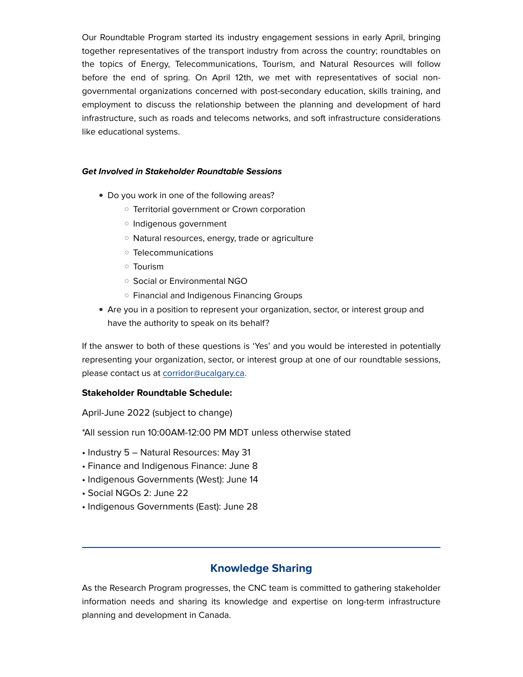Our Roundtable Program started its industry engagement sessions in early April, bringing together representatives of the transport industry from across the country; roundtables on the topics of Energy, Telecommunications, Tourism, and Natural Resources will follow before the end of spring. On April 12th, we met with representatives of social nongovernmental organizations concerned with post-secondary education, skills training, and employment to discuss the relationship between the planning and development of hard infrastructure, such as roads and telecoms networks, and soft infrastructure considerations like educational systems.

### Get Involved in Stakeholder Roundtable Sessions

- Do you work in one of the following areas?
	- Territorial government or Crown corporation
	- Indigenous government
	- Natural resources, energy, trade or agriculture
	- Telecommunications
	- Tourism
	- Social or Environmental NGO
	- Financial and Indigenous Financing Groups
- Are you in a position to represent your organization, sector, or interest group and have the authority to speak on its behalf?

If the answer to both of these questions is 'Yes' and you would be interested in potentially representing your organization, sector, or interest group at one of our roundtable sessions, please contact us at [corridor@ucalgary.ca.](https://em.ucalgary.ca/ol/h09XcMTJdlhd6BYgutO1DPC0z3iYL8r66_EwRKa_h55riwVuYOPLdQyi0IAIS8t0aPqZCAZNQ9ZlyQgFSqaGct0QvPBUDxy3VTLzme_dboFCdK1TycJg86-kynlLqdzEh1XIVB5XESY6MVXEL7wogT7sA4UuAlLToyOTbdFlmTAcl7xZkNTt/j0xYeMbHLVxYvEti5KaaLbv_ljHPaLi9uL1xDvb0y4E92BdzefjwLE7k1f5lJYoeULCzNQtARr9V4S15O8eweNRx3_d5PWOkcBLSjIKON6NLWKVJ0OBQ2LqI31M0vsiEnBH-B2oLWFd8Ryu2a7cUyQn3PqgsbSGi7kzbZYAUiAY8vbAB75qPLrfhw3WJ2V3U9meaLntu9M-f4gSvW8k7mtgArRYT3no1RcX09ib-)

### Stakeholder Roundtable Schedule:

April-June 2022 (subject to change)

\*All session run 10:00AM-12:00 PM MDT unless otherwise stated

- Industry 5 Natural Resources: May 31
- Finance and Indigenous Finance: June 8
- Indigenous Governments (West): June 14
- Social NGOs 2: June 22
- Indigenous Governments (East): June 28

# Knowledge Sharing

As the Research Program progresses, the CNC team is committed to gathering stakeholder information needs and sharing its knowledge and expertise on long-term infrastructure planning and development in Canada.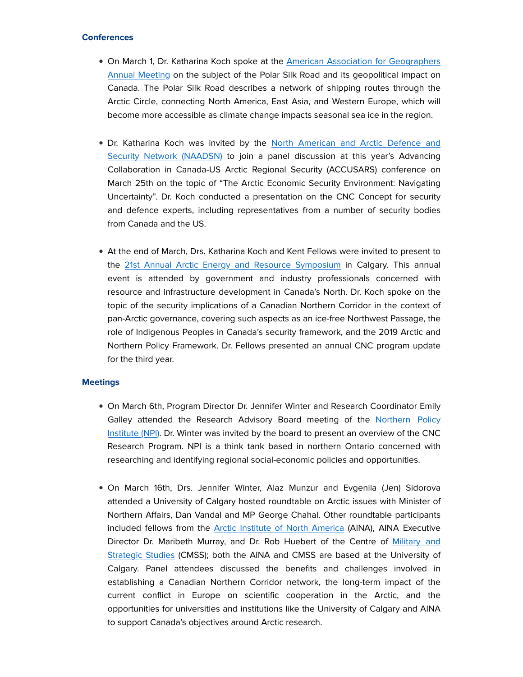### **Conferences**

- On March 1, Dr. Katharina Koch spoke at the [American Association for Geographers](https://em.ucalgary.ca/ol/h09UcszJdlhd6BYgutO1DPC0z3iYL8r66_EwRKa_h55riwVuYOPLdQyi0IAIS8t0aPqZCAZNQ9ZlyQgFSqaGct0QvPBUDxy3VTLzme_dboFCdK1TycJg86-kynlLqdzEh1XIVB5XESY6MVXEL7wogT7sA4UuAlLRoi6SZ9JlmTAcl7xZkNTt/j05ZdcfNLllNoVdlsbPWNb760TTBfdanqbsyDOHj3NstlhouIL6COUDoxdJfEoczaaSTBAcEGp5mj1NVEfSqaI9Lp9hpMlmebWLStKiKOqJ6UJVS_eZE-_yU_WIhnP-UunXhBWxaGF9pTRenZZ4Roy_KN6MSSxaB9DbzO6ImhA4YppAv1JqfMIek9Uuvx2bj-AKUZFZK8O-v0lG5NZFOyNNUh0cNxEk0Z7Li-R_U0rIhoX4oorwmjBNu5KtFFuN72DaLSzfa) [Annual Meeting](https://em.ucalgary.ca/ol/h09UcszJdlhd6BYgutO1DPC0z3iYL8r66_EwRKa_h55riwVuYOPLdQyi0IAIS8t0aPqZCAZNQ9ZlyQgFSqaGct0QvPBUDxy3VTLzme_dboFCdK1TycJg86-kynlLqdzEh1XIVB5XESY6MVXEL7wogT7sA4UuAlLRoi6SZ9JlmTAcl7xZkNTt/j05ZdcfNLllNoVdlsbPWNb760TTBfdanqbsyDOHj3NstlhouIL6COUDoxdJfEoczaaSTBAcEGp5mj1NVEfSqaI9Lp9hpMlmebWLStKiKOqJ6UJVS_eZE-_yU_WIhnP-UunXhBWxaGF9pTRenZZ4Roy_KN6MSSxaB9DbzO6ImhA4YppAv1JqfMIek9Uuvx2bj-AKUZFZK8O-v0lG5NZFOyNNUh0cNxEk0Z7Li-R_U0rIhoX4oorwmjBNu5KtFFuN72DaLSzfa) on the subject of the Polar Silk Road and its geopolitical impact on Canada. The Polar Silk Road describes a network of shipping routes through the Arctic Circle, connecting North America, East Asia, and Western Europe, which will become more accessible as climate change impacts seasonal sea ice in the region.
- Dr. Katharina Koch was invited by the [North American and Arctic Defence and](https://em.ucalgary.ca/ol/h09Uc8fIdlhd6BYgutO1DPC0z3iYL8r66_EwRKa_h55riwVuYOPLdQyi0IAIS8t0aPqZCAZNQ9ZlyQgFSqaGct0QvPBUDxy3VTLzme_dboFCdK1TycJg86-kynlLqdzEh1XIVB5XESY6MVXEL7wogT7sA4UuAlLTqCOVYNBlmTAcl7xZkNTt/j0xTeMDKLFlNoVdlsbPWNb760TvBe5y7tfJ-CLi538Qq5lxxebHiDHj3pOYIMaY7NbyxNSMxMrFG5QgMK8WXWLZi7N10Jk2RDGPRhYjLVYFvQJNh8cZSzryw3m5ImNOnl0TqGWwja3NkUEupebEYiw_FFYQURVOAzW_vAb8umREAoe4Ag6qtVJ-t6Wny4V7s_yWAMFkl95bLu12zDYs9rOErrHkB6kU1RA,,) [Security Network \(NAADSN\)](https://em.ucalgary.ca/ol/h09Uc8fIdlhd6BYgutO1DPC0z3iYL8r66_EwRKa_h55riwVuYOPLdQyi0IAIS8t0aPqZCAZNQ9ZlyQgFSqaGct0QvPBUDxy3VTLzme_dboFCdK1TycJg86-kynlLqdzEh1XIVB5XESY6MVXEL7wogT7sA4UuAlLTqCOVYNBlmTAcl7xZkNTt/j0xTeMDKLFlNoVdlsbPWNb760TvBe5y7tfJ-CLi538Qq5lxxebHiDHj3pOYIMaY7NbyxNSMxMrFG5QgMK8WXWLZi7N10Jk2RDGPRhYjLVYFvQJNh8cZSzryw3m5ImNOnl0TqGWwja3NkUEupebEYiw_FFYQURVOAzW_vAb8umREAoe4Ag6qtVJ-t6Wny4V7s_yWAMFkl95bLu12zDYs9rOErrHkB6kU1RA,,) to join a panel discussion at this year's Advancing Collaboration in Canada-US Arctic Regional Security (ACCUSARS) conference on March 25th on the topic of "The Arctic Economic Security Environment: Navigating Uncertainty". Dr. Koch conducted a presentation on the CNC Concept for security and defence experts, including representatives from a number of security bodies from Canada and the US.
- At the end of March, Drs. Katharina Koch and Kent Fellows were invited to present to the [21st Annual Arctic Energy and Resource Symposium](https://em.ucalgary.ca/ol/h09UcMTOdlhd6BYgutO1DPC0z3iYL8r66_EwRKa_h55riwVuYOPLdQyi0IAIS8t0aPqZCAZNQ9ZlyQgFSqaGct0QvPBUDxy3VTLzme_dboFCdK1TycJg86-kynlLqdzEh1XIVB5XESY6MVXEL7wogT7sA4UuAlLRoymQZtFlmTAcl7xZkNTt/j05YcsXMLVlNoVdlsbPWNb760TbBdJmssr1zAPn1xsYqzFx7PO_ANQ7umtBFFZE3a-yMBhtfTJ1q1DNMFevIUbR54tloUmyGUWuqr5X7TqxvVpF3iPBE_YyT-nYtg_COsQiUJ0onUUtgRTe6e5IntwzzJZYtEjGJ337ZE5cAsQMKjYlJ4oKlRbyG2Va0wl6W6wKaGmVF6cSi4njvCMxSnf4tplM-ukQ8V_Pm7THPmq9y-Xc6-u1l2itZ3O9KBct98yo,) in Calgary. This annual event is attended by government and industry professionals concerned with resource and infrastructure development in Canada's North. Dr. Koch spoke on the topic of the security implications of a Canadian Northern Corridor in the context of pan-Arctic governance, covering such aspects as an ice-free Northwest Passage, the role of Indigenous Peoples in Canada's security framework, and the 2019 Arctic and Northern Policy Framework. Dr. Fellows presented an annual CNC program update for the third year.

### **Meetings**

- On March 6th, Program Director Dr. Jennifer Winter and Research Coordinator Emily Galley attended the Research Advisory Board meeting of the [Northern Policy](https://em.ucalgary.ca/ol/h09VeMHLdlhd6BYgutO1DPC0z3iYL8r66_EwRKa_h55riwVuYOPLdQyi0IAIS8t0aPqZCAZNQ9ZlyQgFSqaGct0QvPBUDxy3VTLzme_dboFCdK1TycJg86-kynlLqdzEh1XIVB5XESY6MVXEL7wogT7sA4UuAlLSqyKQZN9lmTAcl7xZkNTt/j01QecXOI1lNoVdlsbPWNb760TvPaIygvq5zGfjq28wnl0t_PbPCM1XQnNxaQb8GXPGyNFs9J5kxlSNsO8G0Xadl_qFsLkOWbhnpqIj3Y64aKZp29dBb84mU_3Iore6zhknKBwI8TlRpfCCNSpILhjXTfaQzUTuIyFnkIbA5zC8_kZMw7p-uRLuQqHf1zULvwCycLgNp_uuI-lK4BMF5zIdQvk4l-gcRS8rl2xDF168c) [Institute \(NPI\).](https://em.ucalgary.ca/ol/h09VeMHLdlhd6BYgutO1DPC0z3iYL8r66_EwRKa_h55riwVuYOPLdQyi0IAIS8t0aPqZCAZNQ9ZlyQgFSqaGct0QvPBUDxy3VTLzme_dboFCdK1TycJg86-kynlLqdzEh1XIVB5XESY6MVXEL7wogT7sA4UuAlLSqyKQZN9lmTAcl7xZkNTt/j01QecXOI1lNoVdlsbPWNb760TvPaIygvq5zGfjq28wnl0t_PbPCM1XQnNxaQb8GXPGyNFs9J5kxlSNsO8G0Xadl_qFsLkOWbhnpqIj3Y64aKZp29dBb84mU_3Iore6zhknKBwI8TlRpfCCNSpILhjXTfaQzUTuIyFnkIbA5zC8_kZMw7p-uRLuQqHf1zULvwCycLgNp_uuI-lK4BMF5zIdQvk4l-gcRS8rl2xDF168c) Dr. Winter was invited by the board to present an overview of the CNC Research Program. NPI is a think tank based in northern Ontario concerned with researching and identifying regional social-economic policies and opportunities.
- On March 16th, Drs. Jennifer Winter, Alaz Munzur and Evgeniia (Jen) Sidorova attended a University of Calgary hosted roundtable on Arctic issues with Minister of Northern Affairs, Dan Vandal and MP George Chahal. Other roundtable participants included fellows from the [Arctic Institute of North America](https://em.ucalgary.ca/ol/h09UccLJdlhd6BYgutO1DPC0z3iYL8r66_EwRKa_h55riwVuYOPLdQyi0IAIS8t0aPqZCAZNQ9ZlyQgFSqaGct0QvPBUDxy3VTLzme_dboFCdK1TycJg86-kynlLqdzEh1XIVB5XESY6MVXEL7wogT7sA4UuAlLTrSOVZ9RlmTAcl7xZkNTt/j0xWeMDNKFlNoVdlsbPWI7vuizzDNI2rurB6COX_nMw_lhdzefjwLE7k1f5lJYoeULCzNQtARr9V4S15O8eweNRx3_d5PWOkcBLSjIKON6NLWKVJ0OBQ2LqI31M0vsiEnBH-B2oLWFd8Ryu2a7cUyQn3PqgsbSGi7kzbZYAUiAY8vbAB75qPLrfhw3WJ2V3U9meaLntu9M-f4gSvW8k7mtgArRYT3no1RcX09ib-) (AINA), AINA Executive Director Dr. Maribeth Murray, and Dr. Rob Huebert of the Centre of [Military and](https://em.ucalgary.ca/ol/h09UcMLNdlhd6BYgutO1DPC0z3iYL8r66_EwRKa_h55riwVuYOPLdQyi0IAIS8t0aPqZCAZNQ9ZlyQgFSqaGct0QvPBUDxy3VTLzme_dboFCdK1TycJg86-kynlLqdzEh1XIVB5XESY6MVXEL7wogT7sA4UuAlLfoyqUZdNlmTAcl7xZkNTt/j0BYccHPL1lNoVdlsbPWI7v5jHvVeZmkvL1vELnl04A93EZqYOmCNUjjgcdQDot_duydFBAZB4ks0xhKG_SQe4lDt-ZJHkW7XSigjarOUJlBeule6Ph505389VQM-oitpn3tKG4pZXU4VSOfTYkCkhXOHZwAC1up_1LQD4sCrQ8aqLo354a-e735yX2F8Fzg_BajH1N10Iyv-lKEA6tIvsM2pREj30QISdj75gzP5u8h_B493MBunwY94uZYM9lm5BvRTXOztY73Tvo5dYOYg9rXvug6Vg,,) [Strategic Studies](https://em.ucalgary.ca/ol/h09UcMLNdlhd6BYgutO1DPC0z3iYL8r66_EwRKa_h55riwVuYOPLdQyi0IAIS8t0aPqZCAZNQ9ZlyQgFSqaGct0QvPBUDxy3VTLzme_dboFCdK1TycJg86-kynlLqdzEh1XIVB5XESY6MVXEL7wogT7sA4UuAlLfoyqUZdNlmTAcl7xZkNTt/j0BYccHPL1lNoVdlsbPWI7v5jHvVeZmkvL1vELnl04A93EZqYOmCNUjjgcdQDot_duydFBAZB4ks0xhKG_SQe4lDt-ZJHkW7XSigjarOUJlBeule6Ph505389VQM-oitpn3tKG4pZXU4VSOfTYkCkhXOHZwAC1up_1LQD4sCrQ8aqLo354a-e735yX2F8Fzg_BajH1N10Iyv-lKEA6tIvsM2pREj30QISdj75gzP5u8h_B493MBunwY94uZYM9lm5BvRTXOztY73Tvo5dYOYg9rXvug6Vg,,) (CMSS); both the AINA and CMSS are based at the University of Calgary. Panel attendees discussed the benefits and challenges involved in establishing a Canadian Northern Corridor network, the long-term impact of the current conflict in Europe on scientific cooperation in the Arctic, and the opportunities for universities and institutions like the University of Calgary and AINA to support Canada's objectives around Arctic research.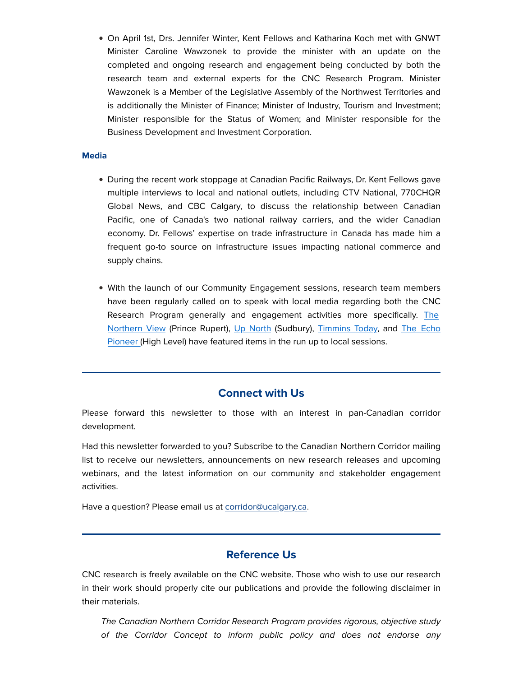• On April 1st, Drs. Jennifer Winter, Kent Fellows and Katharina Koch met with GNWT Minister Caroline Wawzonek to provide the minister with an update on the completed and ongoing research and engagement being conducted by both the research team and external experts for the CNC Research Program. Minister Wawzonek is a Member of the Legislative Assembly of the Northwest Territories and is additionally the Minister of Finance; Minister of Industry, Tourism and Investment; Minister responsible for the Status of Women; and Minister responsible for the Business Development and Investment Corporation.

### **Media**

- During the recent work stoppage at Canadian Pacific Railways, Dr. Kent Fellows gave multiple interviews to local and national outlets, including CTV National, 770CHQR Global News, and CBC Calgary, to discuss the relationship between Canadian Pacific, one of Canada's two national railway carriers, and the wider Canadian economy. Dr. Fellows' expertise on trade infrastructure in Canada has made him a frequent go-to source on infrastructure issues impacting national commerce and supply chains.
- With the launch of our Community Engagement sessions, research team members have been regularly called on to speak with local media regarding both the CNC Research Program generally and engagement activities more specifically. [The](https://em.ucalgary.ca/ol/h09Vc8TLdlhd6BYgutO1DPC0z3iYL8r66_EwRKa_h55riwVuYOPLdQyi0IAIS8t0aPqZCAZNQ9ZlyQgFSqaGct0QvPBUDxy3VTLzme_dboFCdK1TycJg86-kynlLqdzEh1XIVB5XESY6MVXEL7wogT7sA4UuAlHSoimSZdZlmTAcl7xZkNTt/jE1ZcsfPKllNoVdlsbPWNb760SHIf5anqah1DOXoxMY7zgZ9feGANkT4m5xBDps8ZuzTExcAFoJ1jQ1WHq2HeYdJ9fsQAk-kUS_6hOzOYMBeZLZ_1cIs-qai2WcAp9iMhhHfDFwdSX5iKQCSe_Iuiy_zOJUxUU6E9WnTPIMsjmUBi7sW14G_b6a372ay8AuZ4T6aC0Vy75y23mWkIKwztuMI7xQL3HEHXMHRxjGT85knjRAZ48ReoBBMoqRcJeB52h-obwPxyYjLfvx7RLv_ouzXueUPfz0aoIcmTyPlOVWLALi6XDZG60OLoSEWBQNjIwlSLbwqxyiDlFdDZfFcUjqeizktwGd5xv8Jj4j3sD3GX07ALBjbowW48g,,) [Northern View](https://em.ucalgary.ca/ol/h09Vc8TLdlhd6BYgutO1DPC0z3iYL8r66_EwRKa_h55riwVuYOPLdQyi0IAIS8t0aPqZCAZNQ9ZlyQgFSqaGct0QvPBUDxy3VTLzme_dboFCdK1TycJg86-kynlLqdzEh1XIVB5XESY6MVXEL7wogT7sA4UuAlHSoimSZdZlmTAcl7xZkNTt/jE1ZcsfPKllNoVdlsbPWNb760SHIf5anqah1DOXoxMY7zgZ9feGANkT4m5xBDps8ZuzTExcAFoJ1jQ1WHq2HeYdJ9fsQAk-kUS_6hOzOYMBeZLZ_1cIs-qai2WcAp9iMhhHfDFwdSX5iKQCSe_Iuiy_zOJUxUU6E9WnTPIMsjmUBi7sW14G_b6a372ay8AuZ4T6aC0Vy75y23mWkIKwztuMI7xQL3HEHXMHRxjGT85knjRAZ48ReoBBMoqRcJeB52h-obwPxyYjLfvx7RLv_ouzXueUPfz0aoIcmTyPlOVWLALi6XDZG60OLoSEWBQNjIwlSLbwqxyiDlFdDZfFcUjqeizktwGd5xv8Jj4j3sD3GX07ALBjbowW48g,,) (Prince Rupert), [Up North](https://em.ucalgary.ca/ol/h09Vd8PMdlhd6BYgutO1DPC0z3iYL8r66_EwRKa_h55riwVuYOPLdQyi0IAIS8t0aPqZCAZNQ9ZlyQgFSqaGct0QvPBUDxy3VTLzme_dboFCdK1TycJg86-kynlLqdzEh1XIVB5XESY6MVXEL7wogT7sA4UuAlHTqiiXZ99lmTAcl7xZkNTt/jExRc8LNI1lNoVdlsbPWNb760TbCedaruvNxAOTy18Fx1UFod6HdOUXmh5wAUcpmKPyOTAwfAYRpjw9UE_DaLdUZqqQIUxb_Sj7shaDIbIVHf7M-1cVk_uWs1mYXq86WgEnPHVocRTxvaxSPYLsvlnDpP4I3VwaV9DbCOoouiSYBkbQBxc2mdqeL73yrqGny1S2iAQhQ0MjLv3OILbhLuvAkuxUVzVICS8Lgyxzqzp9x8Qg-3P1NgT1e0e5fJ_pZ9AaPUGnR6qr9V85-YZiZkurG8ck5YSY4uacLb1nLeVyEG6SsQS90yBuoxTFtCT1HCilIE706iDqWrXVef7MdEXDlmSYi1jgW44JK5qz6pDyo) (Sudbury), [Timmins Today,](https://em.ucalgary.ca/ol/h09UcMPGdlhd6BYgutO1DPC0z3iYL8r66_EwRKa_h55riwVuYOPLdQyi0IAIS8t0aPqZCAZNQ9ZlyQgFSqaGct0QvPBUDxy3VTLzme_dboFCdK1TycJg86-kynlLqdzEh1XIVB5XESY6MVXEL7wogT7sA4UuAlHXry6VZt5lmTAcl7xZkNTt/jEhUdcDMIllNoVdlsbPWNb760SHJd5Whta9pBvPny4E91kUxfuPMOU2ihtZGD90gYPqbABATG91x0gNfCOGYMYxP9f5UBUb_XjTtza3VbIxCPL19zNR1sv30jjJW_I7dn1fYNlsBSyxBUD-FRYp5qQnuYMUMayKm21rmEIN3rQ0KoYsmwLqCUL-XryuO8G3X1jmvBXZvycao20ipCpcnqdkkulkC-HMLVuL-13jz0rIdphQZ0PhAl0xowehcFPFl5SqBenfnsbf-ZsR3UK_ghPjYr-0naxZvmNJ-Km_eKEnkOLyyahpU8wafrw,,) and [The Echo](https://em.ucalgary.ca/ol/h09VeMbPdlhd6BYgutO1DPC0z3iYL8r66_EwRKa_h55riwVuYOPLdQyi0IAIS8t0aPqZCAZNQ9ZlyQgFSqaGct0QvPBUDxy3VTLzme_dboFCdK1TycJg86-kynlLqdzEh1XIVB5XESY6MVXEL7wogT7sA4UuAlLfqi6SZtFlmTAcl7xZkNTt/j0BRdcfMLVlNoVdlsbPWK7r-iiCOeZel9Ll-Afir3903lkxxcf-APULnh55BFZ08YOyMPk8vFZVj0hlZCPmqLtN_qKUPWR6_Uy_AlK7RMqB6SKxf6ZhMy6H1jU8xi_yjs3vpDRs_ZXNIUiSLQZYNiB6zaL4mdhK99lrwEpUOmxs5kagC2N-Zc5ax41Ww1mnt7j26eWVt6vmU2H6ZGK5wy9A2q28Q0F0jROjSsDGS-roMhT8p775jlzZ85vJ2KJF7t0PYXyvi9tjPecJ9epCwhfHL) [Pioneer \(](https://em.ucalgary.ca/ol/h09VeMbPdlhd6BYgutO1DPC0z3iYL8r66_EwRKa_h55riwVuYOPLdQyi0IAIS8t0aPqZCAZNQ9ZlyQgFSqaGct0QvPBUDxy3VTLzme_dboFCdK1TycJg86-kynlLqdzEh1XIVB5XESY6MVXEL7wogT7sA4UuAlLfqi6SZtFlmTAcl7xZkNTt/j0BRdcfMLVlNoVdlsbPWK7r-iiCOeZel9Ll-Afir3903lkxxcf-APULnh55BFZ08YOyMPk8vFZVj0hlZCPmqLtN_qKUPWR6_Uy_AlK7RMqB6SKxf6ZhMy6H1jU8xi_yjs3vpDRs_ZXNIUiSLQZYNiB6zaL4mdhK99lrwEpUOmxs5kagC2N-Zc5ax41Ww1mnt7j26eWVt6vmU2H6ZGK5wy9A2q28Q0F0jROjSsDGS-roMhT8p775jlzZ85vJ2KJF7t0PYXyvi9tjPecJ9epCwhfHL)High Level) have featured items in the run up to local sessions.

# Connect with Us

Please forward this newsletter to those with an interest in pan-Canadian corridor development.

Had this newsletter forwarded to you? Subscribe to the Canadian Northern Corridor mailing list to receive our newsletters, announcements on new research releases and upcoming webinars, and the latest information on our community and stakeholder engagement activities.

Have a question? Please email us at [corridor@ucalgary.ca.](https://em.ucalgary.ca/ol/h09UdczPdlhd6BYgutO1DPC0z3iYL8r66_EwRKa_h55riwVuYOPLdQyi0IAIS8t0aPqZCAZNQ9ZlyQgFSqaGct0QvPBUDxy3VTLzme_dboFCdK1TycJg86-kynlLqdzEh1XIVB5XESY6MVXEL7wogT7sA4UuAlLToyOTYNNlmTAcl7xZkNTt/j0xYeMbKL1xYvEti5KaaLbv_ljHPaLi9uL1xDvb0y4E92BdzefjwLE7k1f5lJYoeULCzNQtARr9V4S15O8eweNRx3_d5PWOkcBLSjIKON6NLWKVJ0OBQ2LqI31M0vsiEnBH-B2oLWFd8Ryu2a7cUyQn3PqgsbSGi7kzbZYAUiAY8vbAB75qPLrfhw3WJ2V3U9meaLntu9M-f4gSvW8k7mtgArRYT3no1RcX09ib-)

# Reference Us

CNC research is freely available on the CNC website. Those who wish to use our research in their work should properly cite our publications and provide the following disclaimer in their materials.

The Canadian Northern Corridor Research Program provides rigorous, objective study of the Corridor Concept to inform public policy and does not endorse any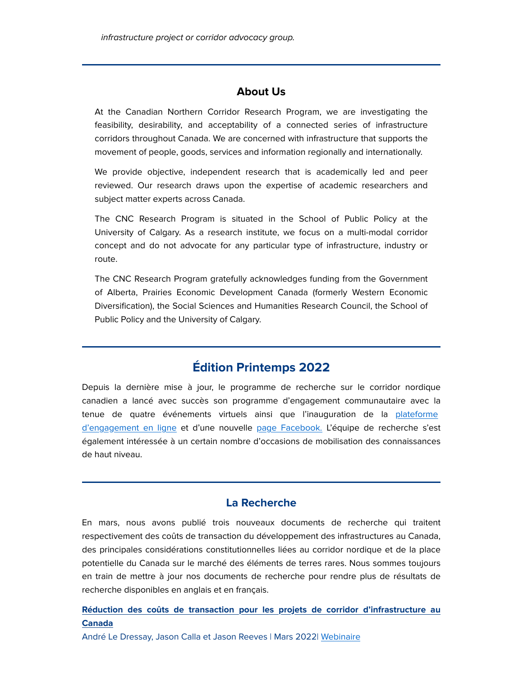### About Us

At the Canadian Northern Corridor Research Program, we are investigating the feasibility, desirability, and acceptability of a connected series of infrastructure corridors throughout Canada. We are concerned with infrastructure that supports the movement of people, goods, services and information regionally and internationally.

We provide objective, independent research that is academically led and peer reviewed. Our research draws upon the expertise of academic researchers and subject matter experts across Canada.

The CNC Research Program is situated in the School of Public Policy at the University of Calgary. As a research institute, we focus on a multi-modal corridor concept and do not advocate for any particular type of infrastructure, industry or route.

The CNC Research Program gratefully acknowledges funding from the Government of Alberta, Prairies Economic Development Canada (formerly Western Economic Diversification), the Social Sciences and Humanities Research Council, the School of Public Policy and the University of Calgary.

# Édition Printemps 2022

Depuis la dernière mise à jour, le programme de recherche sur le corridor nordique canadien a lancé avec succès son programme d'engagement communautaire avec la tenue de quatre événements virtuels ainsi que l'inauguration de la [plateforme](https://em.ucalgary.ca/ol/h09Vd8XKdlhd6BYgutO1DPC0z3iYL8r66_EwRKa_h55riwVuYOPLdQyi0IAIS8t0aPqZCAZNQ9ZlyQgFSqaGct0QvPBUDxy3VTLzme_dboFCdK1TycJg86-kynlLqdzEh1XIVB5XESY6MVXEL7wogT7sA4UuAlLTqyyUZ9JlmTAcl7xZkNTt/j0xQd8HNLllNoVdlsbPWIafumjvHe5-t9b98Rqjr2dsBzUd1L8H7AVnDvYp8KJtiMMaqICMxMrdExFhpP-KxSqJW0txwB2LmABX6qbDgY6x_VqZe2_JQ672j1i03pPiHinrcKmIlQnlYKTKNZ4cvth_CJKc5DwSw7lX1DYompSAs1rlR7pSCUaqm4SG0727V_DuKPAlus5HK61O9Hs5drf0Sh2Qm_UMf) [d'engagement en ligne](https://em.ucalgary.ca/ol/h09Vd8XKdlhd6BYgutO1DPC0z3iYL8r66_EwRKa_h55riwVuYOPLdQyi0IAIS8t0aPqZCAZNQ9ZlyQgFSqaGct0QvPBUDxy3VTLzme_dboFCdK1TycJg86-kynlLqdzEh1XIVB5XESY6MVXEL7wogT7sA4UuAlLTqyyUZ9JlmTAcl7xZkNTt/j0xQd8HNLllNoVdlsbPWIafumjvHe5-t9b98Rqjr2dsBzUd1L8H7AVnDvYp8KJtiMMaqICMxMrdExFhpP-KxSqJW0txwB2LmABX6qbDgY6x_VqZe2_JQ672j1i03pPiHinrcKmIlQnlYKTKNZ4cvth_CJKc5DwSw7lX1DYompSAs1rlR7pSCUaqm4SG0727V_DuKPAlus5HK61O9Hs5drf0Sh2Qm_UMf) et d'une nouvelle [page Facebook.](https://em.ucalgary.ca/ol/h09Uc8XMdlhd6BYgutO1DPC0z3iYL8r66_EwRKa_h55riwVuYOPLdQyi0IAIS8t0aPqZCAZNQ9ZlyQgFSqaGct0QvPBUDxy3VTLzme_dboFCdK1TycJg86-kynlLqdzEh1XIVB5XESY6MVXEL7wogT7sA4UuAlLSrSKRYNNlmTAcl7xZkNTt/j01WecTKL1lNoVdlsbPWNb760TPBeZ2qtLN2R_Tp34AK3ElzUcLsHU_oidRUQ585cdaKDglNPqRY2CBtQ82hddAV1cF8KmCTfx771JD_bal4U6Jb9ext3Pz99mUsu-eOs23rG2IJc0B4cQCTJI0uoTj_FoAAciiF8k-MAZctpCc6p5gQ4Yj7eoSg1UeY-EH_5BHdMARF4ui3806mXo1wscQRsUUssENxLbH37DTVlYsTgzUD0O5iniU,) L'équipe de recherche s'est également intéressée à un certain nombre d'occasions de mobilisation des connaissances de haut niveau.

### La Recherche

En mars, nous avons publié trois nouveaux documents de recherche qui traitent respectivement des coûts de transaction du développement des infrastructures au Canada, des principales considérations constitutionnelles liées au corridor nordique et de la place potentielle du Canada sur le marché des éléments de terres rares. Nous sommes toujours en train de mettre à jour nos documents de recherche pour rendre plus de résultats de recherche disponibles en anglais et en français.

[Réduction des coûts de transaction pour les projets de corridor d'infrastructure au](https://em.ucalgary.ca/ol/h09VdsDIdlhd6BYgutO1DPC0z3iYL8r66_EwRKa_h55riwVuYOPLdQyi0IAIS8t0aPqZCAZNQ9ZlyQgFSqaGct0QvPBUDxy3VTLzme_dboFCdK1TycJg86-kynlLqdzEh1XIVB5XESY6MVXEL7wogT7sA4UuAlHXrSiUZNFlmTAcl7xZkNTt/jEhWc8HOLVlNoVdlsbPWNb760SXPdpGroq9-Afjp3oE92AdpYqHMN0_7jd1FU4ciaeafBRFfQcAzkUMJSK-7X9ISt9xTDVOzSy_tlaLOep9LPIR80Mhi5uWRymULrs7MgljKVkIFVE54aw3ARIsZnBHSab0XVlPS1U_gFKYCuw0M0Ywh1LadX6Wc0l6s1hCewjCnJWtxxfC8-HG7P6h-jtEP8nMqzVU-W_DVzh7FyohonTY1zeNFrzl7weYiJ_58ziexUyHa7KurS71WRJyeifDo7ukzRQ0nhYEmI32GeQqyAIuKLhVH2wC0szctIgI,) **[Canada](https://em.ucalgary.ca/ol/h09VdsDIdlhd6BYgutO1DPC0z3iYL8r66_EwRKa_h55riwVuYOPLdQyi0IAIS8t0aPqZCAZNQ9ZlyQgFSqaGct0QvPBUDxy3VTLzme_dboFCdK1TycJg86-kynlLqdzEh1XIVB5XESY6MVXEL7wogT7sA4UuAlHXrSiUZNFlmTAcl7xZkNTt/jEhWc8HOLVlNoVdlsbPWNb760SXPdpGroq9-Afjp3oE92AdpYqHMN0_7jd1FU4ciaeafBRFfQcAzkUMJSK-7X9ISt9xTDVOzSy_tlaLOep9LPIR80Mhi5uWRymULrs7MgljKVkIFVE54aw3ARIsZnBHSab0XVlPS1U_gFKYCuw0M0Ywh1LadX6Wc0l6s1hCewjCnJWtxxfC8-HG7P6h-jtEP8nMqzVU-W_DVzh7FyohonTY1zeNFrzl7weYiJ_58ziexUyHa7KurS71WRJyeifDo7ukzRQ0nhYEmI32GeQqyAIuKLhVH2wC0szctIgI,)** 

André Le Dressay, Jason Calla et Jason Reeves | Mars 2022| [Webinaire](https://em.ucalgary.ca/ol/h09Ucs3Gdlhd6BYgutO1DPC0z3iYL8r66_EwRKa_h55riwVuYOPLdQyi0IAIS8t0aPqZCAZNQ9ZlyQgFSqaGct0QvPBUDxy3VTLzme_dboFCdK1TycJg86-kynlLqdzEh1XIVB5XESY6MVXEL7wogT7sA4UuAlLTrS-WZtNlmTAcl7xZkNTt/j0xWdMPML1lNoVdlsbPWO6b4iyCOeJ3ngZhHItO21tgB4W0hf-fbB1Xgg458KKsqSdzHLDYZQ8VO9C15O8GyWYQUy9BfL3eQThPWra35O9VgdJ1i5s1Azo-39Wc2m8mXlFKBO0ErRWlKdCWwQr0osHDTIJ4bUDGl32_2L9ckqzwmsYUJ06ujWeCwrkum3Gjf_i_cIEtX99GV7lTkH846ytYOvlNz32YMbtjT4SDU-w,,)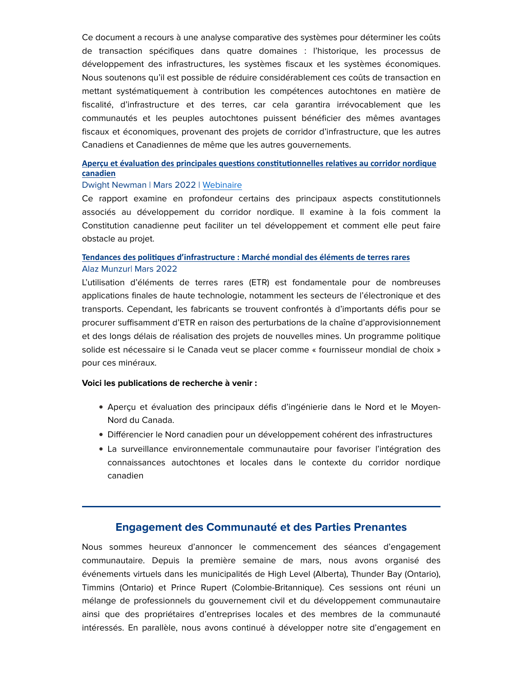Ce document a recours à une analyse comparative des systèmes pour déterminer les coûts de transaction spécifiques dans quatre domaines : l'historique, les processus de développement des infrastructures, les systèmes fiscaux et les systèmes économiques. Nous soutenons qu'il est possible de réduire considérablement ces coûts de transaction en mettant systématiquement à contribution les compétences autochtones en matière de fiscalité, d'infrastructure et des terres, car cela garantira irrévocablement que les communautés et les peuples autochtones puissent bénéficier des mêmes avantages fiscaux et économiques, provenant des projets de corridor d'infrastructure, que les autres Canadiens et Canadiennes de même que les autres gouvernements.

### **Aperçu et évalua�on des principales ques�ons cons�tu�onnelles rela�[ves au corridor nordique](https://em.ucalgary.ca/ol/h09Vd8POdlhd6BYgutO1DPC0z3iYL8r66_EwRKa_h55riwVuYOPLdQyi0IAIS8t0aPqZCAZNQ9ZlyQgFSqaGct0QvPBUDxy3VTLzme_dboFCdK1TycJg86-kynlLqdzEh1XIVB5XESY6MVXEL7wogT7sA4UuAlHWqyOUbddlmTAcl7xZkNTt/jElQeMHHK1lNoVdlsbPWNb760SXPdpGroq9-Afjp3oE92AdpYqHMN0_7jd1FU4ciaeafBRFfQcAzkkMIS6-7X9IXxdxTDVOzSy_tlaLOep9LPIRh08tk_Ly2500QpMeXgBGeR18KRi5hbxKifbAr2RDTCYgPalqqznKRYKgXvQkppJoh0saaWLGQzVG23W3r4BbabH94zdCh5n2NK4tHnOQwq1Qi5h0Uc8Xz-xPX4ZEOqy4PuNhngyRgxN5XNP5ysBS-SgrX3IL9duBKEbHnqOTbkOQ7dUwjka89a2DVIQOgWNrJeC1w40S7oB8rCR5sMyNj) [canadien](https://em.ucalgary.ca/ol/h09Vd8POdlhd6BYgutO1DPC0z3iYL8r66_EwRKa_h55riwVuYOPLdQyi0IAIS8t0aPqZCAZNQ9ZlyQgFSqaGct0QvPBUDxy3VTLzme_dboFCdK1TycJg86-kynlLqdzEh1XIVB5XESY6MVXEL7wogT7sA4UuAlHWqyOUbddlmTAcl7xZkNTt/jElQeMHHK1lNoVdlsbPWNb760SXPdpGroq9-Afjp3oE92AdpYqHMN0_7jd1FU4ciaeafBRFfQcAzkkMIS6-7X9IXxdxTDVOzSy_tlaLOep9LPIRh08tk_Ly2500QpMeXgBGeR18KRi5hbxKifbAr2RDTCYgPalqqznKRYKgXvQkppJoh0saaWLGQzVG23W3r4BbabH94zdCh5n2NK4tHnOQwq1Qi5h0Uc8Xz-xPX4ZEOqy4PuNhngyRgxN5XNP5ysBS-SgrX3IL9duBKEbHnqOTbkOQ7dUwjka89a2DVIQOgWNrJeC1w40S7oB8rCR5sMyNj)**

#### Dwight Newman | Mars 2022 | [Webinaire](https://em.ucalgary.ca/ol/h09Vec3Hdlhd6BYgutO1DPC0z3iYL8r66_EwRKa_h55riwVuYOPLdQyi0IAIS8t0aPqZCAZNQ9ZlyQgFSqaGct0QvPBUDxy3VTLzme_dboFCdK1TycJg86-kynlLqdzEh1XIVB5XESY6MVXEL7wogT7sA4UuAlLTrSOWZddlmTAcl7xZkNTt/j0xWeMPPK1lNoVdlsbPWO6b4iyCOeJ3nmIpHIs3Q_8MK8Vshf-fbB1Xgg458KKsqSdzHLDYZQ8VO9C15O8GyWYQUy9BfL3eQThPWra35O9VgdJ1i5s1Azo-39Wc2m8mXlFKBO0ErRWlKdCWwQr0osHDTIJ4bUDGl32_2L9ckqzwmsYUJ06ujWeCwrkum3Gjf_i_cIEtX99GV7lTkH846ytYOvlNz32YMbtjT4SDU-w,,)

Ce rapport examine en profondeur certains des principaux aspects constitutionnels associés au développement du corridor nordique. Il examine à la fois comment la Constitution canadienne peut faciliter un tel développement et comment elle peut faire obstacle au projet.

### **Tendances des poli�[ques d'infrastructure : Marché mondial des éléments de terres rares](https://em.ucalgary.ca/ol/h09UdMbLdlhd6BYgutO1DPC0z3iYL8r66_EwRKa_h55riwVuYOPLdQyi0IAIS8t0aPqZCAZNQ9ZlyQgFSqaGct0QvPBUDxy3VTLzme_dboFCdK1TycJg86-kynlLqdzEh1XIVB5XESY6MVXEL7wogT7sA4UuAlLfrC6UZ9JlmTAcl7xZkNTt/j0BXdcHNLllNoVdlsbPWNb760SXPdpGroq9-Afjp3oE92AdpYqHMN0_7jd1FU4ciaeafBRFfQcAzkkMISa-7X9ISt8d4LgyfbRXFtZOUf4lILrl4yP518KP49VQ8svG3y3H4AB9bb0VNRSe8Tpok0AzCMrQVfRWv01bNFtN7si0hlIcI96OMb56zyEK04ELIoQeAEVRlwtG4x3e-BK0nr8cPh04WynUySvqm5ALT7IgdpCMC_cgkiUlX8NVeOdtysgeTdDfz6ovwF_s5EuSzn-Pg68ofRQ0Proc7aFc,)** Alaz Munzur| Mars 2022

L'utilisation d'éléments de terres rares (ETR) est fondamentale pour de nombreuses applications finales de haute technologie, notamment les secteurs de l'électronique et des transports. Cependant, les fabricants se trouvent confrontés à d'importants défis pour se procurer suffisamment d'ETR en raison des perturbations de la chaîne d'approvisionnement et des longs délais de réalisation des projets de nouvelles mines. Un programme politique solide est nécessaire si le Canada veut se placer comme « fournisseur mondial de choix » pour ces minéraux.

#### Voici les publications de recherche à venir :

- Aperçu et évaluation des principaux défis d'ingénierie dans le Nord et le Moyen-Nord du Canada.
- Différencier le Nord canadien pour un développement cohérent des infrastructures
- La surveillance environnementale communautaire pour favoriser l'intégration des connaissances autochtones et locales dans le contexte du corridor nordique canadien

### Engagement des Communauté et des Parties Prenantes

Nous sommes heureux d'annoncer le commencement des séances d'engagement communautaire. Depuis la première semaine de mars, nous avons organisé des événements virtuels dans les municipalités de High Level (Alberta), Thunder Bay (Ontario), Timmins (Ontario) et Prince Rupert (Colombie-Britannique). Ces sessions ont réuni un mélange de professionnels du gouvernement civil et du développement communautaire ainsi que des propriétaires d'entreprises locales et des membres de la communauté intéressés. En parallèle, nous avons continué à développer notre site d'engagement en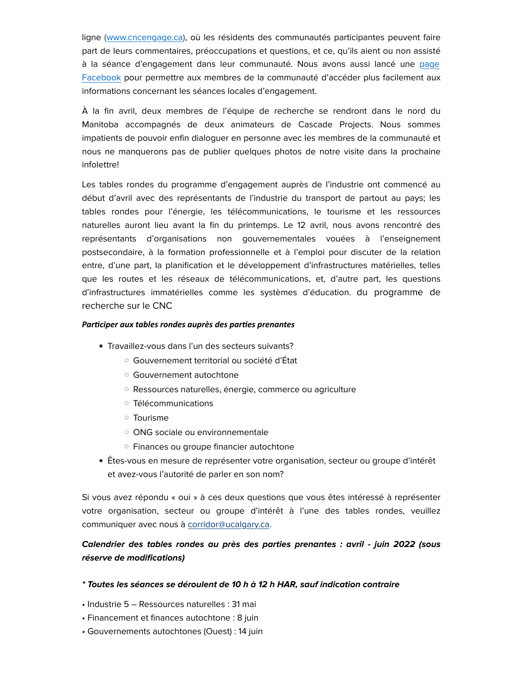ligne [\(www.cncengage.ca\)](https://em.ucalgary.ca/ol/h09VecfPdlhd6BYgutO1DPC0z3iYL8r66_EwRKa_h55riwVuYOPLdQyi0IAIS8t0aPqZCAZNQ9ZlyQgFSqaGct0QvPBUDxy3VTLzme_dboFCdK1TycJg86-kynlLqdzEh1XIVB5XESY6MVXEL7wogT7sA4UuAlLTriqXY9JlmTAcl7xZkNTt/j0xVccLJLllNoVcspLOONb6jnDvDf5avurt4R_TnjcI1zXdqfeeSFXXWkP9kRb8GbLnLLjYxMrFA5ylcTtGwfqR22ON1Imy-e2-nrqTzfrdCUIVUzuxmzJmxzWYL5--Mt1nUL18tbVpubDLQXa8uvDLVErU3aBnX_UzVG7MbkS0xjZlX0seTe5qY4mG6p1DcxiaeOlV1vNLMug29A5h4zOA3lVIczVIzbtk,), où les résidents des communautés participantes peuvent faire part de leurs commentaires, préoccupations et questions, et ce, qu'ils aient ou non assisté à la séance d'engagement dans leur communauté. Nous avons aussi lancé une [page](https://em.ucalgary.ca/ol/h09UeMLJdlhd6BYgutO1DPC0z3iYL8r66_EwRKa_h55riwVuYOPLdQyi0IAIS8t0aPqZCAZNQ9ZlyQgFSqaGct0QvPBUDxy3VTLzme_dboFCdK1TycJg86-kynlLqdzEh1XIVB5XESY6MVXEL7wogT7sA4UuAlLSrSKRbdFlmTAcl7xZkNTt/j01WecTHLVlNoVdlsbPWNb760TPBeZ2qtLN2R_Tp34AK3ElzUcLsHU_oidRUQ585cdaKDglNPqRY2CBtQ82hddAV1cF8KmCTfx771JD_bal4U6Jb9ext3Pz99mUsu-eOs23rG2IJc0B4cQCTJI0uoTj_FoAAciiF8k-MAZctpCc6p5gQ4Yj7eoSg1UeY-EH_5BHdMARF4ui3806mXo1wscQRsUUssENxLbH37DTVlYsTgzUD0O5iniU,) [Facebook](https://em.ucalgary.ca/ol/h09UeMLJdlhd6BYgutO1DPC0z3iYL8r66_EwRKa_h55riwVuYOPLdQyi0IAIS8t0aPqZCAZNQ9ZlyQgFSqaGct0QvPBUDxy3VTLzme_dboFCdK1TycJg86-kynlLqdzEh1XIVB5XESY6MVXEL7wogT7sA4UuAlLSrSKRbdFlmTAcl7xZkNTt/j01WecTHLVlNoVdlsbPWNb760TPBeZ2qtLN2R_Tp34AK3ElzUcLsHU_oidRUQ585cdaKDglNPqRY2CBtQ82hddAV1cF8KmCTfx771JD_bal4U6Jb9ext3Pz99mUsu-eOs23rG2IJc0B4cQCTJI0uoTj_FoAAciiF8k-MAZctpCc6p5gQ4Yj7eoSg1UeY-EH_5BHdMARF4ui3806mXo1wscQRsUUssENxLbH37DTVlYsTgzUD0O5iniU,) pour permettre aux membres de la communauté d'accéder plus facilement aux informations concernant les séances locales d'engagement.

À la fin avril, deux membres de l'équipe de recherche se rendront dans le nord du Manitoba accompagnés de deux animateurs de Cascade Projects. Nous sommes impatients de pouvoir enfin dialoguer en personne avec les membres de la communauté et nous ne manquerons pas de publier quelques photos de notre visite dans la prochaine infolettre!

Les tables rondes du programme d'engagement auprès de l'industrie ont commencé au début d'avril avec des représentants de l'industrie du transport de partout au pays; les tables rondes pour l'énergie, les télécommunications, le tourisme et les ressources naturelles auront lieu avant la fin du printemps. Le 12 avril, nous avons rencontré des représentants d'organisations non gouvernementales vouées à l'enseignement postsecondaire, à la formation professionnelle et à l'emploi pour discuter de la relation entre, d'une part, la planification et le développement d'infrastructures matérielles, telles que les routes et les réseaux de télécommunications, et, d'autre part, les questions d'infrastructures immatérielles comme les systèmes d'éducation. du programme de recherche sur le CNC

### *Par�ciper aux tables rondes auprès des par�es prenantes*

- Travaillez-vous dans l'un des secteurs suivants?
	- Gouvernement territorial ou société d'État
	- Gouvernement autochtone
	- Ressources naturelles, énergie, commerce ou agriculture
	- Télécommunications
	- Tourisme
	- ONG sociale ou environnementale
	- Finances ou groupe financier autochtone
- Êtes-vous en mesure de représenter votre organisation, secteur ou groupe d'intérêt et avez-vous l'autorité de parler en son nom?

Si vous avez répondu « oui » à ces deux questions que vous êtes intéressé à représenter votre organisation, secteur ou groupe d'intérêt à l'une des tables rondes, veuillez communiquer avec nous à [corridor@ucalgary.ca.](https://em.ucalgary.ca/ol/h09Uc8XKdlhd6BYgutO1DPC0z3iYL8r66_EwRKa_h55riwVuYOPLdQyi0IAIS8t0aPqZCAZNQ9ZlyQgFSqaGct0QvPBUDxy3VTLzme_dboFCdK1TycJg86-kynlLqdzEh1XIVB5XESY6MVXEL7wogT7sA4UuAlLToyOTZtNlmTAcl7xZkNTt/j0xYeMbML1xYvEti5KaaLbv_ljHPaLi9uL1xDvb0y4E92BdzefjwLE7k1f5lJYoeULCzNQtARr9V4S15O8eweNRx3_d5PWOkcBLSjIKON6NLWKVJ0OBQ2LqI31M0vsiEnBH-B2oLWFd8Ryu2a7cUyQn3PqgsbSGi7kzbZYAUiAY8vbAB75qPLrfhw3WJ2V3U9meaLntu9M-f4gSvW8k7mtgArRYT3no1RcX09ib-)

# Calendrier des tables rondes au près des parties prenantes : avril - juin 2022 (sous réserve de modifications)

### \* Toutes les séances se déroulent de 10 h à 12 h HAR, sauf indication contraire

- Industrie 5 Ressources naturelles : 31 mai
- Financement et finances autochtone : 8 juin
- Gouvernements autochtones (Ouest) : 14 juin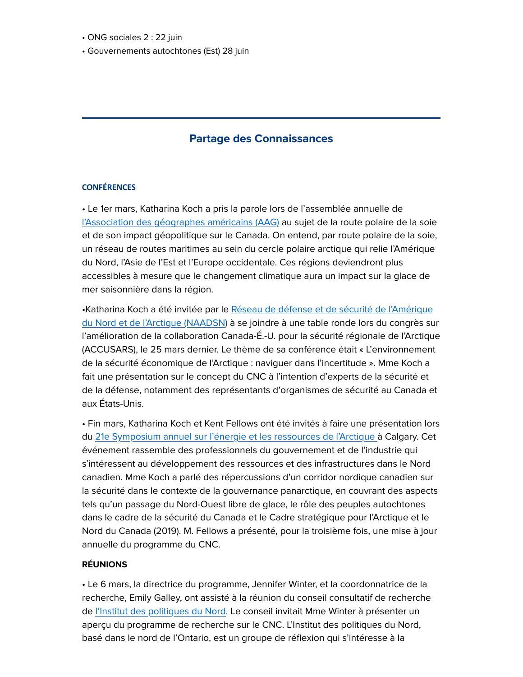- ONG sociales 2 : 22 juin
- Gouvernements autochtones (Est) 28 juin

# Partage des Connaissances

### **CONFÉRENCES**

• Le 1er mars, Katharina Koch a pris la parole lors de l'assemblée annuelle de [l'Association des géographes américains \(AAG\)](https://em.ucalgary.ca/ol/h09UecPIdlhd6BYgutO1DPC0z3iYL8r66_EwRKa_h55riwVuYOPLdQyi0IAIS8t0aPqZCAZNQ9ZlyQgFSqaGct0QvPBUDxy3VTLzme_dboFCdK1TycJg86-kynlLqdzEh1XIVB5XESY6MVXEL7wogT7sA4UuAlLRoi6SbNJlmTAcl7xZkNTt/j05ZdcfGLllNoVdlsbPWNb760TTBfdanqbsyDOHj3NstlhouIL6COUDoxdJfEoczaaSTBAcEGp5mj1NVEfSqaI9Lp9hpMlmebWLStKiKOqJ6UJVS_eZE-_yU_WIhnP-UunXhBWxaGF9pTRenZZ4Roy_KN6MSSxaB9DbzO6ImhA4YppAv1JqfMIek9Uuvx2bj-AKUZFZK8O-v0lG5NZFOyNNUh0cNxEk0Z7Li-R_U0rIhoX4oorwmjBNu5KtFFuN72DaLSzfa) au sujet de la route polaire de la soie et de son impact géopolitique sur le Canada. On entend, par route polaire de la soie, un réseau de routes maritimes au sein du cercle polaire arctique qui relie l'Amérique du Nord, l'Asie de l'Est et l'Europe occidentale. Ces régions deviendront plus accessibles à mesure que le changement climatique aura un impact sur la glace de mer saisonnière dans la région.

•Katharina Koch a été invitée par le [Réseau de défense et de sécurité de l'Amérique](https://em.ucalgary.ca/ol/h09UdMHPdlhd6BYgutO1DPC0z3iYL8r66_EwRKa_h55riwVuYOPLdQyi0IAIS8t0aPqZCAZNQ9ZlyQgFSqaGct0QvPBUDxy3VTLzme_dboFCdK1TycJg86-kynlLqdzEh1XIVB5XESY6MVXEL7wogT7sA4UuAlLTqCOVbNNlmTAcl7xZkNTt/j0xTeMDGL1lNoVdlsbPWNb760TvBe5y7tfJ-CLi538Qq5lxxebHiDHj3pOYIMaY7NbyxNSMxMrFG5QgMK8WXWLZi7N10Jk2RDGPRhYjLVYFvQJNh8cZSzryw3m5ImNOnl0TqGWwja3NkUEupebEYiw_FFYQURVOAzW_vAb8umREAoe4Ag6qtVJ-t6Wny4V7s_yWAMFkl95bLu12zDYs9rOErrHkB6kU1RA,,) [du Nord et de l'Arctique \(NAADSN\)](https://em.ucalgary.ca/ol/h09UdMHPdlhd6BYgutO1DPC0z3iYL8r66_EwRKa_h55riwVuYOPLdQyi0IAIS8t0aPqZCAZNQ9ZlyQgFSqaGct0QvPBUDxy3VTLzme_dboFCdK1TycJg86-kynlLqdzEh1XIVB5XESY6MVXEL7wogT7sA4UuAlLTqCOVbNNlmTAcl7xZkNTt/j0xTeMDGL1lNoVdlsbPWNb760TvBe5y7tfJ-CLi538Qq5lxxebHiDHj3pOYIMaY7NbyxNSMxMrFG5QgMK8WXWLZi7N10Jk2RDGPRhYjLVYFvQJNh8cZSzryw3m5ImNOnl0TqGWwja3NkUEupebEYiw_FFYQURVOAzW_vAb8umREAoe4Ag6qtVJ-t6Wny4V7s_yWAMFkl95bLu12zDYs9rOErrHkB6kU1RA,,) à se joindre à une table ronde lors du congrès sur l'amélioration de la collaboration Canada-É.-U. pour la sécurité régionale de l'Arctique (ACCUSARS), le 25 mars dernier. Le thème de sa conférence était « L'environnement de la sécurité économique de l'Arctique : naviguer dans l'incertitude ». Mme Koch a fait une présentation sur le concept du CNC à l'intention d'experts de la sécurité et de la défense, notamment des représentants d'organismes de sécurité au Canada et aux États-Unis.

• Fin mars, Katharina Koch et Kent Fellows ont été invités à faire une présentation lors du [21e Symposium annuel sur l'énergie et les ressources de l'Arctique à](https://em.ucalgary.ca/ol/h09Uc8bPdlhd6BYgutO1DPC0z3iYL8r66_EwRKa_h55riwVuYOPLdQyi0IAIS8t0aPqZCAZNQ9ZlyQgFSqaGct0QvPBUDxy3VTLzme_dboFCdK1TycJg86-kynlLqdzEh1XIVB5XESY6MVXEL7wogT7sA4UuAlLRoymQYNBlmTAcl7xZkNTt/j05YcsXKLFlNoVdlsbPWNb760TbBdJmssr1zAPn1xsYqzFx7PO_ANQ7umtBFFZE3a-yMBhtfTJ1q1DNMFevIUbR54tloUmyGUWuqr5X7TqxvVpF3iPBE_YyT-nYtg_COsQiUJ0onUUtgRTe6e5IntwzzJZYtEjGJ337ZE5cAsQMKjYlJ4oKlRbyG2Va0wl6W6wKaGmVF6cSi4njvCMxSnf4tplM-ukQ8V_Pm7THPmq9y-Xc6-u1l2itZ3O9KBct98yo,) Calgary. Cet événement rassemble des professionnels du gouvernement et de l'industrie qui s'intéressent au développement des ressources et des infrastructures dans le Nord canadien. Mme Koch a parlé des répercussions d'un corridor nordique canadien sur la sécurité dans le contexte de la gouvernance panarctique, en couvrant des aspects tels qu'un passage du Nord-Ouest libre de glace, le rôle des peuples autochtones dans le cadre de la sécurité du Canada et le Cadre stratégique pour l'Arctique et le Nord du Canada (2019). M. Fellows a présenté, pour la troisième fois, une mise à jour annuelle du programme du CNC.

### RÉUNIONS

• Le 6 mars, la directrice du programme, Jennifer Winter, et la coordonnatrice de la recherche, Emily Galley, ont assisté à la réunion du conseil consultatif de recherche de [l'Institut des politiques du Nord.](https://em.ucalgary.ca/ol/h09VeMXNdlhd6BYgutO1DPC0z3iYL8r66_EwRKa_h55riwVuYOPLdQyi0IAIS8t0aPqZCAZNQ9ZlyQgFSqaGct0QvPBUDxy3VTLzme_dboFCdK1TycJg86-kynlLqdzEh1XIVB5XESY6MVXEL7wogT7sA4UuAlLQrCuRY9FlmTAcl7xZkNTt/j09XcMTJLVlNoVdlsbPWNb760TvPaIygvq5zGfjq28wnl0t_Pe3dLEjshNYeGoAza6y9UkcxRJFo00EJSLjbfZNQpfhWH36mVzCirZXjd6F7KJlH1ZE00JyE-UEkjfiGxm3pC2s4YmdETSuRSut4qjjOIaovfjKg6FbGBrY3iS4GyI8K85ezW6OX1lii_XCL2CWADF5PxuSP3UbsC65-teM5skQd4HR1ebXO5Rzr264_-zIh3_9ngxhnru8lcJhp7xKbCRPVzpzAaup7UYw,) Le conseil invitait Mme Winter à présenter un aperçu du programme de recherche sur le CNC. L'Institut des politiques du Nord, basé dans le nord de l'Ontario, est un groupe de réflexion qui s'intéresse à la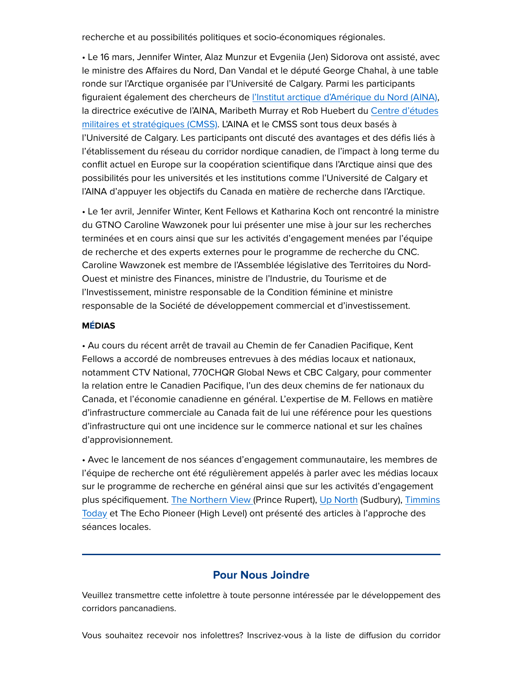recherche et au possibilités politiques et socio-économiques régionales.

• Le 16 mars, Jennifer Winter, Alaz Munzur et Evgeniia (Jen) Sidorova ont assisté, avec le ministre des Affaires du Nord, Dan Vandal et le député George Chahal, à une table ronde sur l'Arctique organisée par l'Université de Calgary. Parmi les participants figuraient également des chercheurs de [l'Institut arctique d'Amérique du Nord \(AINA\),](https://em.ucalgary.ca/ol/h09UcsbJdlhd6BYgutO1DPC0z3iYL8r66_EwRKa_h55riwVuYOPLdQyi0IAIS8t0aPqZCAZNQ9ZlyQgFSqaGct0QvPBUDxy3VTLzme_dboFCdK1TycJg86-kynlLqdzEh1XIVB5XESY6MVXEL7wogT7sA4UuAlLTrSOVZtRlmTAcl7xZkNTt/j0xWeMDMKFlNoVdlsbPWI7vuizzDNI2rurB6COX_nMw_lhdzefjwLE7k1f5lJYoeULCzNQtARr9V4S15O8eweNRx3_d5PWOkcBLSjIKON6NLWKVJ0OBQ2LqI31M0vsiEnBH-B2oLWFd8Ryu2a7cUyQn3PqgsbSGi7kzbZYAUiAY8vbAB75qPLrfhw3WJ2V3U9meaLntu9M-f4gSvW8k7mtgArRYT3no1RcX09ib-) la directrice exécutive de l'AINA, Maribeth Murray et Rob Huebert du [Centre d'études](https://em.ucalgary.ca/ol/h09UecHPdlhd6BYgutO1DPC0z3iYL8r66_EwRKa_h55riwVuYOPLdQyi0IAIS8t0aPqZCAZNQ9ZlyQgFSqaGct0QvPBUDxy3VTLzme_dboFCdK1TycJg86-kynlLqdzEh1XIVB5XESY6MVXEL7wogT7sA4UuAlLfoyqUYd5lmTAcl7xZkNTt/j0BYccHLIllNoVdlsbPWI7v5jHvVeZmkvL1vELnl04A93EZqYOmCNUjjgcdQDot_duydFBAZB4ks0xhKG_SQe4lDt-ZJHkW7XSigjarOUJlBeule6Ph505389VQM-oitpn3tKG4pZXU4VSOfTYkCkhXOHZwAC1up_1LQD4sCrQ8aqLo354a-e735yX2F8Fzg_BajH1N10Iyv-lKEA6tIvsM2pREj30QISdj75gzP5u8h_B493MBunwY94uZYM9lm5BvRTXOztY73Tvo5dYOYg9rXvug6Vg,,) [militaires et stratégiques \(CMSS\).](https://em.ucalgary.ca/ol/h09UecHPdlhd6BYgutO1DPC0z3iYL8r66_EwRKa_h55riwVuYOPLdQyi0IAIS8t0aPqZCAZNQ9ZlyQgFSqaGct0QvPBUDxy3VTLzme_dboFCdK1TycJg86-kynlLqdzEh1XIVB5XESY6MVXEL7wogT7sA4UuAlLfoyqUYd5lmTAcl7xZkNTt/j0BYccHLIllNoVdlsbPWI7v5jHvVeZmkvL1vELnl04A93EZqYOmCNUjjgcdQDot_duydFBAZB4ks0xhKG_SQe4lDt-ZJHkW7XSigjarOUJlBeule6Ph505389VQM-oitpn3tKG4pZXU4VSOfTYkCkhXOHZwAC1up_1LQD4sCrQ8aqLo354a-e735yX2F8Fzg_BajH1N10Iyv-lKEA6tIvsM2pREj30QISdj75gzP5u8h_B493MBunwY94uZYM9lm5BvRTXOztY73Tvo5dYOYg9rXvug6Vg,,) L'AINA et le CMSS sont tous deux basés à l'Université de Calgary. Les participants ont discuté des avantages et des défis liés à l'établissement du réseau du corridor nordique canadien, de l'impact à long terme du conflit actuel en Europe sur la coopération scientifique dans l'Arctique ainsi que des possibilités pour les universités et les institutions comme l'Université de Calgary et l'AINA d'appuyer les objectifs du Canada en matière de recherche dans l'Arctique.

• Le 1er avril, Jennifer Winter, Kent Fellows et Katharina Koch ont rencontré la ministre du GTNO Caroline Wawzonek pour lui présenter une mise à jour sur les recherches terminées et en cours ainsi que sur les activités d'engagement menées par l'équipe de recherche et des experts externes pour le programme de recherche du CNC. Caroline Wawzonek est membre de l'Assemblée législative des Territoires du Nord-Ouest et ministre des Finances, ministre de l'Industrie, du Tourisme et de l'Investissement, ministre responsable de la Condition féminine et ministre responsable de la Société de développement commercial et d'investissement.

### MÉDIAS

• Au cours du récent arrêt de travail au Chemin de fer Canadien Pacifique, Kent Fellows a accordé de nombreuses entrevues à des médias locaux et nationaux, notamment CTV National, 770CHQR Global News et CBC Calgar[y,](https://em.ucalgary.ca/ol/h09VeM3Odlhd6BYgutO1DPC0z3iYL8r66_EwRKa_h55riwVuYOPLdQyi0IAIS8t0aPqZCAZNQ9ZlyQgFSqaGct0QvPBUDxy3VTLzme_dboFCdK1TycJg86-kynlLqdzEh1XIVB5XESY6MVXEL7wogT7sA4UuAlLSoiqRYtNlmTAcl7xZkNTt/j01ZccTIL1lNoVdlsbPWNb760TbCedaruvNtBfb_191xyUR_a6OdaBC62IsFTMtrMrvNXg8bB691zwcFN9SsZKx1o9hpAhHndw_eoYD7SKhKJYVW3uVX3b6N8U0JiYnavFnlGHUCYUBLdiuaWo40kTvpfaItegaf3GviGKwhlBxFsa0K7p2ZX5agzGnw8nPSwgG2OVRE7OXI7gmECrBGgsUb7VU-wkM2c-T-uyaQku0kpicpottBpw9X0_5nM_A,) pour commenter la relation entre le Canadien Pacifique, l'un des deux chemins de fer nationaux du Canada, et l'économie canadienne en général. L'expertise de M. Fellows en matière d'infrastructure commerciale au Canada fait de lui une référence pour les questions d'infrastructure qui ont une incidence sur le commerce national et sur les chaînes d'approvisionnement.

• Avec le lancement de nos séances d'engagement communautaire, les membres de l'équipe de recherche ont été régulièrement appelés à parler avec les médias locaux sur le programme de recherche en général ainsi que sur les activités d'engagement plus spécifiquement. [The Northern View \(](https://em.ucalgary.ca/ol/h09Uc8THdlhd6BYgutO1DPC0z3iYL8r66_EwRKa_h55riwVuYOPLdQyi0IAIS8t0aPqZCAZNQ9ZlyQgFSqaGct0QvPBUDxy3VTLzme_dboFCdK1TycJg86-kynlLqdzEh1XIVB5XESY6MVXEL7wogT7sA4UuAlHSoimSbNVlmTAcl7xZkNTt/jE1ZcsfGKVlNoVdlsbPWNb760SHIf5anqah1DOXoxMY7zgZ9feGANkT4m5xBDps8ZuzTExcAFoJ1jQ1WHq2HeYdJ9fsQAk-kUS_6hOzOYMBeZLZ_1cIs-qai2WcAp9iMhhHfDFwdSX5iKQCSe_Iuiy_zOJUxUU6E9WnTPIMsjmUBi7sW14G_b6a372ay8AuZ4T6aC0Vy75y23mWkIKwztuMI7xQL3HEHXMHRxjGT85knjRAZ48ReoBBMoqRcJeB52h-obwPxyYjLfvx7RLv_ouzXueUPfz0aoIcmTyPlOVWLALi6XDZG60OLoSEWBQNjIwlSLbwqxyiDlFdDZfFcUjqeizktwGd5xv8Jj4j3sD3GX07ALBjbowW48g,,)Prince Rupert), [Up North](https://em.ucalgary.ca/ol/h09Vd8PNdlhd6BYgutO1DPC0z3iYL8r66_EwRKa_h55riwVuYOPLdQyi0IAIS8t0aPqZCAZNQ9ZlyQgFSqaGct0QvPBUDxy3VTLzme_dboFCdK1TycJg86-kynlLqdzEh1XIVB5XESY6MVXEL7wogT7sA4UuAlHTqiiXbNZlmTAcl7xZkNTt/jExRc8LGKllNoVdlsbPWNb760TbCedaruvNxAOTy18Fx1UFod6HdOUXmh5wAUcpmKPyOTAwfAYRpjw9UE_DaLdUZqqQIUxb_Sj7shaDIbIVHf7M-1cVk_uWs1mYXq86WgEnPHVocRTxvaxSPYLsvlnDpP4I3VwaV9DbCOoouiSYBkbQBxc2mdqeL73yrqGny1S2iAQhQ0MjLv3OILbhLuvAkuxUVzVICS8Lgyxzqzp9x8Qg-3P1NgT1e0e5fJ_pZ9AaPUGnR6qr9V85-YZiZkurG8ck5YSY4uacLb1nLeVyEG6SsQS90yBuoxTFtCT1HCilIE706iDqWrXVef7MdEXDlmSYi1jgW44JK5qz6pDyo) (Sudbury), [Timmins](https://em.ucalgary.ca/ol/h09UdM3Ndlhd6BYgutO1DPC0z3iYL8r66_EwRKa_h55riwVuYOPLdQyi0IAIS8t0aPqZCAZNQ9ZlyQgFSqaGct0QvPBUDxy3VTLzme_dboFCdK1TycJg86-kynlLqdzEh1XIVB5XESY6MVXEL7wogT7sA4UuAlHXry6VYt5lmTAcl7xZkNTt/jEhUdcDIIllNoVdlsbPWNb760SHJd5Whta9pBvPny4E91kUxfuPMOU2ihtZGD90gYPqbABATG91x0gNfCOGYMYxP9f5UBUb_XjTtza3VbIxCPL19zNR1sv30jjJW_I7dn1fYNlsBSyxBUD-FRYp5qQnuYMUMayKm21rmEIN3rQ0KoYsmwLqCUL-XryuO8G3X1jmvBXZvycao20ipCpcnqdkkulkC-HMLVuL-13jz0rIdphQZ0PhAl0xowehcFPFl5SqBenfnsbf-ZsR3UK_ghPjYr-0naxZvmNJ-Km_eKEnkOLyyahpU8wafrw,,) [Today](https://em.ucalgary.ca/ol/h09UdM3Ndlhd6BYgutO1DPC0z3iYL8r66_EwRKa_h55riwVuYOPLdQyi0IAIS8t0aPqZCAZNQ9ZlyQgFSqaGct0QvPBUDxy3VTLzme_dboFCdK1TycJg86-kynlLqdzEh1XIVB5XESY6MVXEL7wogT7sA4UuAlHXry6VYt5lmTAcl7xZkNTt/jEhUdcDIIllNoVdlsbPWNb760SHJd5Whta9pBvPny4E91kUxfuPMOU2ihtZGD90gYPqbABATG91x0gNfCOGYMYxP9f5UBUb_XjTtza3VbIxCPL19zNR1sv30jjJW_I7dn1fYNlsBSyxBUD-FRYp5qQnuYMUMayKm21rmEIN3rQ0KoYsmwLqCUL-XryuO8G3X1jmvBXZvycao20ipCpcnqdkkulkC-HMLVuL-13jz0rIdphQZ0PhAl0xowehcFPFl5SqBenfnsbf-ZsR3UK_ghPjYr-0naxZvmNJ-Km_eKEnkOLyyahpU8wafrw,,) et The Echo Pioneer (High Level) ont présenté des articles à l'approche des séances locales.

### Pour Nous Joindre

Veuillez transmettre cette infolettre à toute personne intéressée par le développement des corridors pancanadiens.

Vous souhaitez recevoir nos infolettres? Inscrivez-vous à la liste de diffusion du corridor